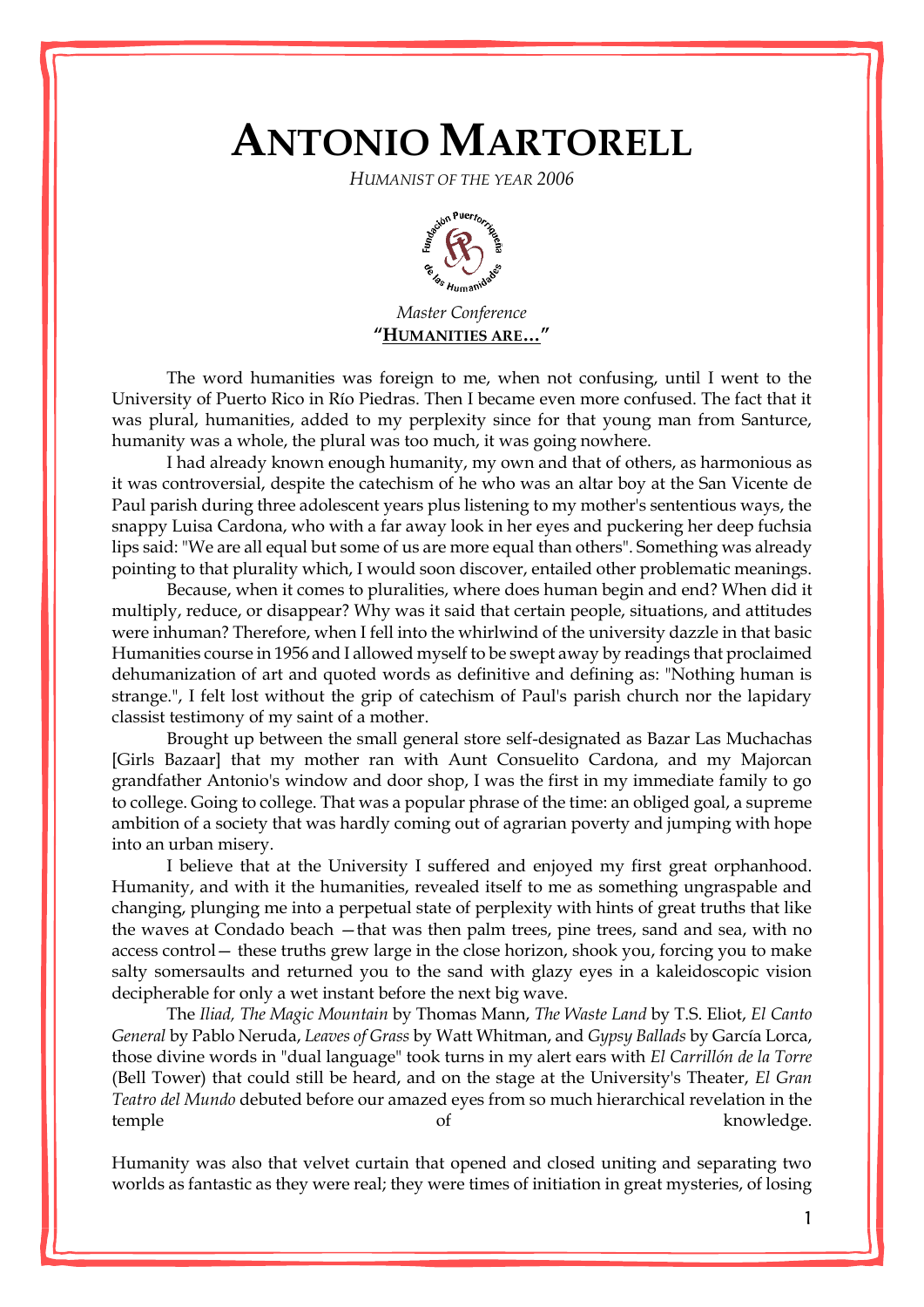## **ANTONIO MARTORELL**

*HUMANIST OF THE YEAR 2006*



*Master Conference* **"HUMANITIES ARE…"**

The word humanities was foreign to me, when not confusing, until I went to the University of Puerto Rico in Río Piedras. Then I became even more confused. The fact that it was plural, humanities, added to my perplexity since for that young man from Santurce, humanity was a whole, the plural was too much, it was going nowhere.

I had already known enough humanity, my own and that of others, as harmonious as it was controversial, despite the catechism of he who was an altar boy at the San Vicente de Paul parish during three adolescent years plus listening to my mother's sententious ways, the snappy Luisa Cardona, who with a far away look in her eyes and puckering her deep fuchsia lips said: "We are all equal but some of us are more equal than others". Something was already pointing to that plurality which, I would soon discover, entailed other problematic meanings.

Because, when it comes to pluralities, where does human begin and end? When did it multiply, reduce, or disappear? Why was it said that certain people, situations, and attitudes were inhuman? Therefore, when I fell into the whirlwind of the university dazzle in that basic Humanities course in 1956 and I allowed myself to be swept away by readings that proclaimed dehumanization of art and quoted words as definitive and defining as: "Nothing human is strange.", I felt lost without the grip of catechism of Paul's parish church nor the lapidary classist testimony of my saint of a mother.

Brought up between the small general store self-designated as Bazar Las Muchachas [Girls Bazaar] that my mother ran with Aunt Consuelito Cardona, and my Majorcan grandfather Antonio's window and door shop, I was the first in my immediate family to go to college. Going to college. That was a popular phrase of the time: an obliged goal, a supreme ambition of a society that was hardly coming out of agrarian poverty and jumping with hope into an urban misery.

I believe that at the University I suffered and enjoyed my first great orphanhood. Humanity, and with it the humanities, revealed itself to me as something ungraspable and changing, plunging me into a perpetual state of perplexity with hints of great truths that like the waves at Condado beach —that was then palm trees, pine trees, sand and sea, with no access control— these truths grew large in the close horizon, shook you, forcing you to make salty somersaults and returned you to the sand with glazy eyes in a kaleidoscopic vision decipherable for only a wet instant before the next big wave.

The *Iliad, The Magic Mountain* by Thomas Mann, *The Waste Land* by T.S. Eliot, *El Canto General* by Pablo Neruda, *Leaves of Grass* by Watt Whitman, and *Gypsy Ballads* by García Lorca, those divine words in "dual language" took turns in my alert ears with *El Carrillón de la Torre* (Bell Tower) that could still be heard, and on the stage at the University's Theater, *El Gran Teatro del Mundo* debuted before our amazed eyes from so much hierarchical revelation in the temple of knowledge.

Humanity was also that velvet curtain that opened and closed uniting and separating two worlds as fantastic as they were real; they were times of initiation in great mysteries, of losing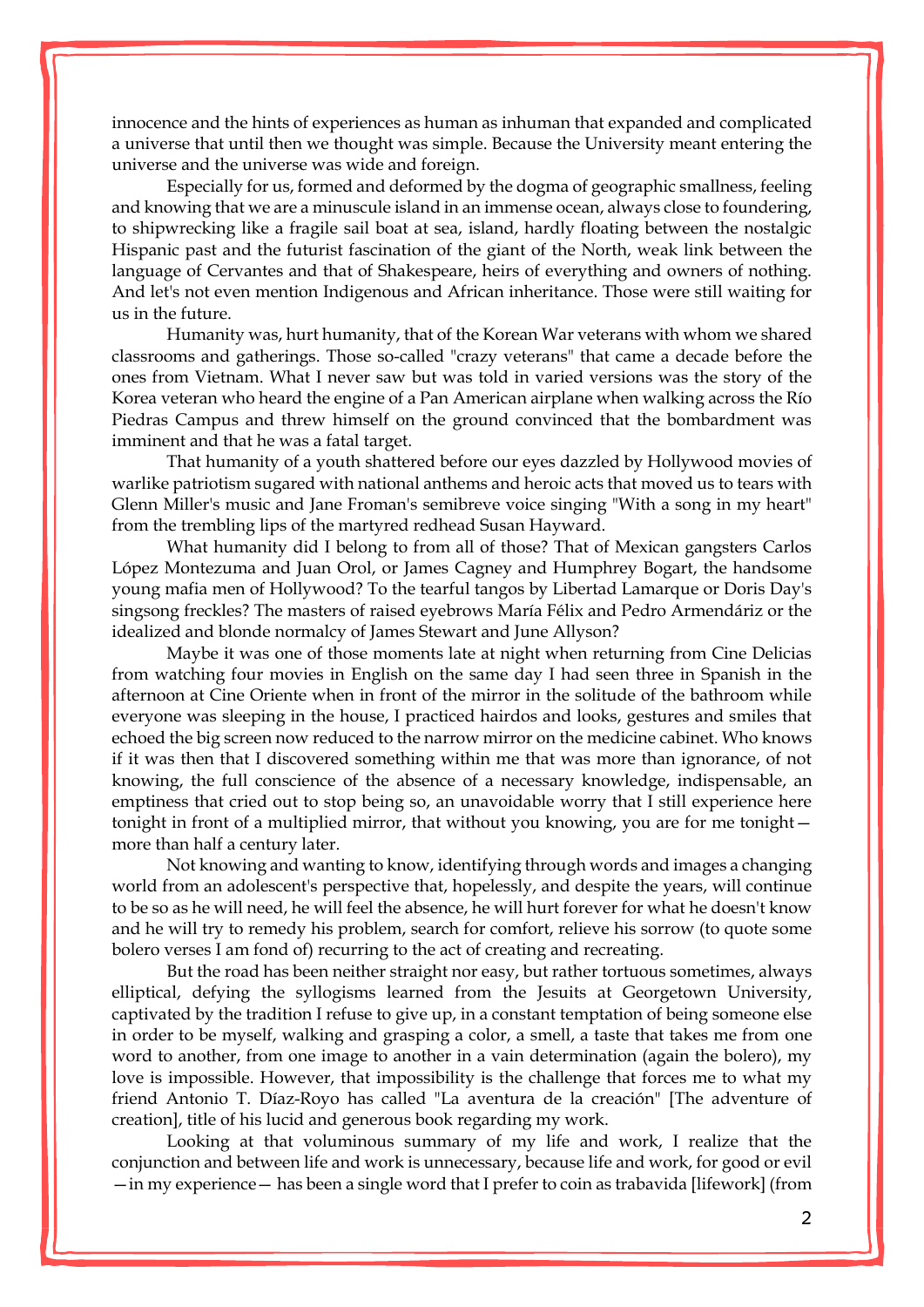innocence and the hints of experiences as human as inhuman that expanded and complicated a universe that until then we thought was simple. Because the University meant entering the universe and the universe was wide and foreign.

Especially for us, formed and deformed by the dogma of geographic smallness, feeling and knowing that we are a minuscule island in an immense ocean, always close to foundering, to shipwrecking like a fragile sail boat at sea, island, hardly floating between the nostalgic Hispanic past and the futurist fascination of the giant of the North, weak link between the language of Cervantes and that of Shakespeare, heirs of everything and owners of nothing. And let's not even mention Indigenous and African inheritance. Those were still waiting for us in the future.

Humanity was, hurt humanity, that of the Korean War veterans with whom we shared classrooms and gatherings. Those so-called "crazy veterans" that came a decade before the ones from Vietnam. What I never saw but was told in varied versions was the story of the Korea veteran who heard the engine of a Pan American airplane when walking across the Río Piedras Campus and threw himself on the ground convinced that the bombardment was imminent and that he was a fatal target.

That humanity of a youth shattered before our eyes dazzled by Hollywood movies of warlike patriotism sugared with national anthems and heroic acts that moved us to tears with Glenn Miller's music and Jane Froman's semibreve voice singing "With a song in my heart" from the trembling lips of the martyred redhead Susan Hayward.

What humanity did I belong to from all of those? That of Mexican gangsters Carlos López Montezuma and Juan Orol, or James Cagney and Humphrey Bogart, the handsome young mafia men of Hollywood? To the tearful tangos by Libertad Lamarque or Doris Day's singsong freckles? The masters of raised eyebrows María Félix and Pedro Armendáriz or the idealized and blonde normalcy of James Stewart and June Allyson?

Maybe it was one of those moments late at night when returning from Cine Delicias from watching four movies in English on the same day I had seen three in Spanish in the afternoon at Cine Oriente when in front of the mirror in the solitude of the bathroom while everyone was sleeping in the house, I practiced hairdos and looks, gestures and smiles that echoed the big screen now reduced to the narrow mirror on the medicine cabinet. Who knows if it was then that I discovered something within me that was more than ignorance, of not knowing, the full conscience of the absence of a necessary knowledge, indispensable, an emptiness that cried out to stop being so, an unavoidable worry that I still experience here tonight in front of a multiplied mirror, that without you knowing, you are for me tonight more than half a century later.

Not knowing and wanting to know, identifying through words and images a changing world from an adolescent's perspective that, hopelessly, and despite the years, will continue to be so as he will need, he will feel the absence, he will hurt forever for what he doesn't know and he will try to remedy his problem, search for comfort, relieve his sorrow (to quote some bolero verses I am fond of) recurring to the act of creating and recreating.

But the road has been neither straight nor easy, but rather tortuous sometimes, always elliptical, defying the syllogisms learned from the Jesuits at Georgetown University, captivated by the tradition I refuse to give up, in a constant temptation of being someone else in order to be myself, walking and grasping a color, a smell, a taste that takes me from one word to another, from one image to another in a vain determination (again the bolero), my love is impossible. However, that impossibility is the challenge that forces me to what my friend Antonio T. Díaz-Royo has called "La aventura de la creación" [The adventure of creation], title of his lucid and generous book regarding my work.

Looking at that voluminous summary of my life and work, I realize that the conjunction and between life and work is unnecessary, because life and work, for good or evil —in my experience— has been a single word that I prefer to coin as trabavida [lifework] (from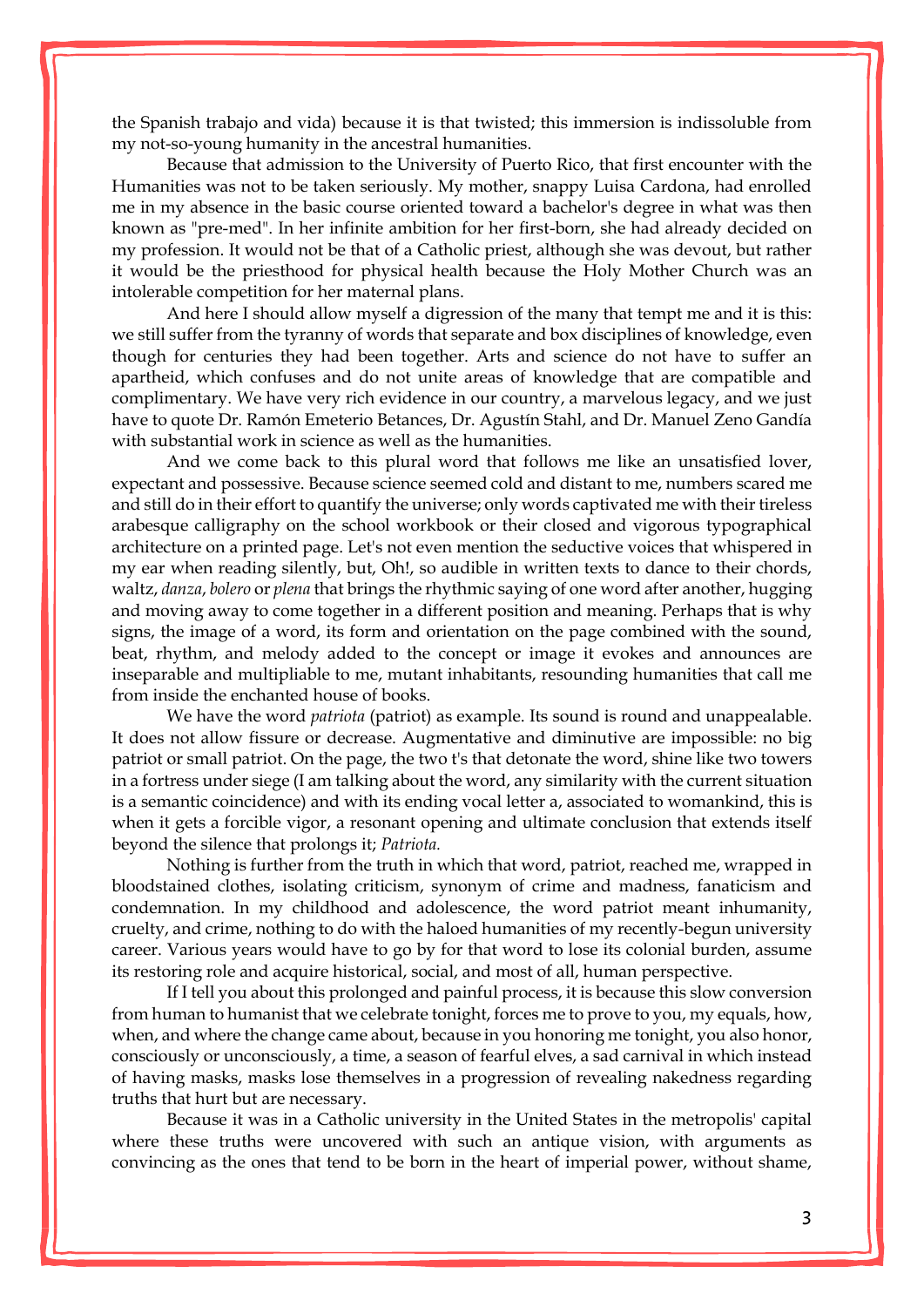the Spanish trabajo and vida) because it is that twisted; this immersion is indissoluble from my not-so-young humanity in the ancestral humanities.

Because that admission to the University of Puerto Rico, that first encounter with the Humanities was not to be taken seriously. My mother, snappy Luisa Cardona, had enrolled me in my absence in the basic course oriented toward a bachelor's degree in what was then known as "pre-med". In her infinite ambition for her first-born, she had already decided on my profession. It would not be that of a Catholic priest, although she was devout, but rather it would be the priesthood for physical health because the Holy Mother Church was an intolerable competition for her maternal plans.

And here I should allow myself a digression of the many that tempt me and it is this: we still suffer from the tyranny of words that separate and box disciplines of knowledge, even though for centuries they had been together. Arts and science do not have to suffer an apartheid, which confuses and do not unite areas of knowledge that are compatible and complimentary. We have very rich evidence in our country, a marvelous legacy, and we just have to quote Dr. Ramón Emeterio Betances, Dr. Agustín Stahl, and Dr. Manuel Zeno Gandía with substantial work in science as well as the humanities.

And we come back to this plural word that follows me like an unsatisfied lover, expectant and possessive. Because science seemed cold and distant to me, numbers scared me and still do in their effort to quantify the universe; only words captivated me with their tireless arabesque calligraphy on the school workbook or their closed and vigorous typographical architecture on a printed page. Let's not even mention the seductive voices that whispered in my ear when reading silently, but, Oh!, so audible in written texts to dance to their chords, waltz, *danza*, *bolero* or *plena* that brings the rhythmic saying of one word after another, hugging and moving away to come together in a different position and meaning. Perhaps that is why signs, the image of a word, its form and orientation on the page combined with the sound, beat, rhythm, and melody added to the concept or image it evokes and announces are inseparable and multipliable to me, mutant inhabitants, resounding humanities that call me from inside the enchanted house of books.

We have the word *patriota* (patriot) as example. Its sound is round and unappealable. It does not allow fissure or decrease. Augmentative and diminutive are impossible: no big patriot or small patriot. On the page, the two t's that detonate the word, shine like two towers in a fortress under siege (I am talking about the word, any similarity with the current situation is a semantic coincidence) and with its ending vocal letter a, associated to womankind, this is when it gets a forcible vigor, a resonant opening and ultimate conclusion that extends itself beyond the silence that prolongs it; *Patriota.*

Nothing is further from the truth in which that word, patriot, reached me, wrapped in bloodstained clothes, isolating criticism, synonym of crime and madness, fanaticism and condemnation. In my childhood and adolescence, the word patriot meant inhumanity, cruelty, and crime, nothing to do with the haloed humanities of my recently-begun university career. Various years would have to go by for that word to lose its colonial burden, assume its restoring role and acquire historical, social, and most of all, human perspective.

If I tell you about this prolonged and painful process, it is because this slow conversion from human to humanist that we celebrate tonight, forces me to prove to you, my equals, how, when, and where the change came about, because in you honoring me tonight, you also honor, consciously or unconsciously, a time, a season of fearful elves, a sad carnival in which instead of having masks, masks lose themselves in a progression of revealing nakedness regarding truths that hurt but are necessary.

Because it was in a Catholic university in the United States in the metropolis' capital where these truths were uncovered with such an antique vision, with arguments as convincing as the ones that tend to be born in the heart of imperial power, without shame,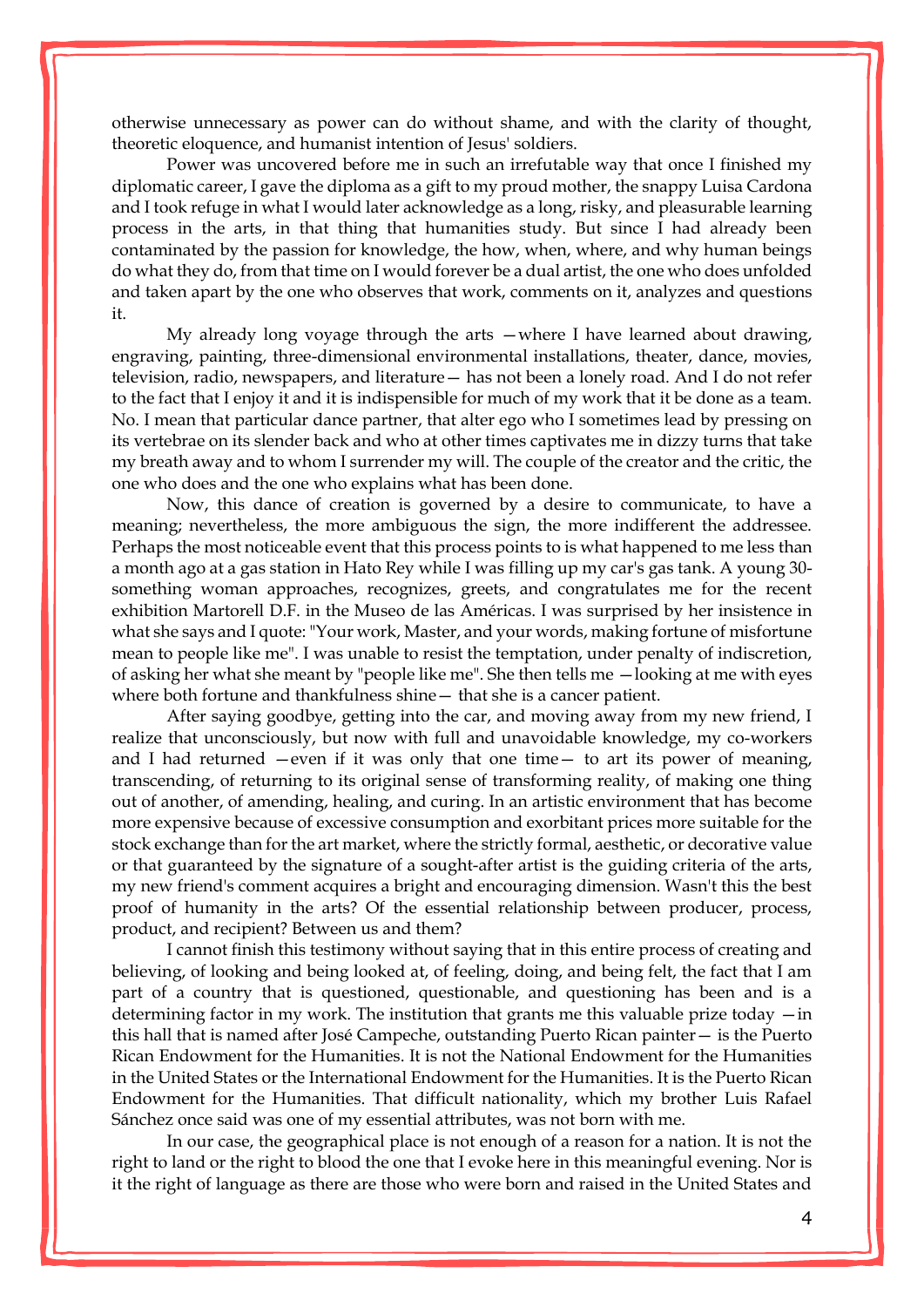otherwise unnecessary as power can do without shame, and with the clarity of thought, theoretic eloquence, and humanist intention of Jesus' soldiers.

Power was uncovered before me in such an irrefutable way that once I finished my diplomatic career, I gave the diploma as a gift to my proud mother, the snappy Luisa Cardona and I took refuge in what I would later acknowledge as a long, risky, and pleasurable learning process in the arts, in that thing that humanities study. But since I had already been contaminated by the passion for knowledge, the how, when, where, and why human beings do what they do, from that time on I would forever be a dual artist, the one who does unfolded and taken apart by the one who observes that work, comments on it, analyzes and questions it.

My already long voyage through the arts —where I have learned about drawing, engraving, painting, three-dimensional environmental installations, theater, dance, movies, television, radio, newspapers, and literature— has not been a lonely road. And I do not refer to the fact that I enjoy it and it is indispensible for much of my work that it be done as a team. No. I mean that particular dance partner, that alter ego who I sometimes lead by pressing on its vertebrae on its slender back and who at other times captivates me in dizzy turns that take my breath away and to whom I surrender my will. The couple of the creator and the critic, the one who does and the one who explains what has been done.

Now, this dance of creation is governed by a desire to communicate, to have a meaning; nevertheless, the more ambiguous the sign, the more indifferent the addressee. Perhaps the most noticeable event that this process points to is what happened to me less than a month ago at a gas station in Hato Rey while I was filling up my car's gas tank. A young 30 something woman approaches, recognizes, greets, and congratulates me for the recent exhibition Martorell D.F. in the Museo de las Américas. I was surprised by her insistence in what she says and I quote: "Your work, Master, and your words, making fortune of misfortune mean to people like me". I was unable to resist the temptation, under penalty of indiscretion, of asking her what she meant by "people like me". She then tells me —looking at me with eyes where both fortune and thankfulness shine— that she is a cancer patient.

After saying goodbye, getting into the car, and moving away from my new friend, I realize that unconsciously, but now with full and unavoidable knowledge, my co-workers and I had returned  $-$ even if it was only that one time $-$  to art its power of meaning, transcending, of returning to its original sense of transforming reality, of making one thing out of another, of amending, healing, and curing. In an artistic environment that has become more expensive because of excessive consumption and exorbitant prices more suitable for the stock exchange than for the art market, where the strictly formal, aesthetic, or decorative value or that guaranteed by the signature of a sought-after artist is the guiding criteria of the arts, my new friend's comment acquires a bright and encouraging dimension. Wasn't this the best proof of humanity in the arts? Of the essential relationship between producer, process, product, and recipient? Between us and them?

I cannot finish this testimony without saying that in this entire process of creating and believing, of looking and being looked at, of feeling, doing, and being felt, the fact that I am part of a country that is questioned, questionable, and questioning has been and is a determining factor in my work. The institution that grants me this valuable prize today —in this hall that is named after José Campeche, outstanding Puerto Rican painter— is the Puerto Rican Endowment for the Humanities. It is not the National Endowment for the Humanities in the United States or the International Endowment for the Humanities. It is the Puerto Rican Endowment for the Humanities. That difficult nationality, which my brother [Luis Rafael](http://enciclopediapr.org/ing/article.cfm?ref=12020306)  [Sánchez](http://enciclopediapr.org/ing/article.cfm?ref=12020306) once said was one of my essential attributes, was not born with me.

In our case, the geographical place is not enough of a reason for a nation. It is not the right to land or the right to blood the one that I evoke here in this meaningful evening. Nor is it the right of language as there are those who were born and raised in the United States and